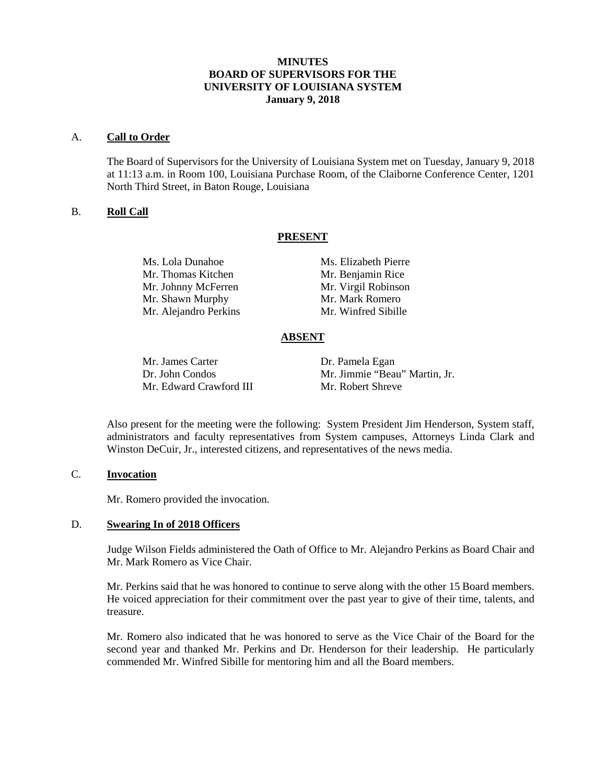### **MINUTES BOARD OF SUPERVISORS FOR THE UNIVERSITY OF LOUISIANA SYSTEM January 9, 2018**

#### A. **Call to Order**

The Board of Supervisors for the University of Louisiana System met on Tuesday, January 9, 2018 at 11:13 a.m. in Room 100, Louisiana Purchase Room, of the Claiborne Conference Center, 1201 North Third Street, in Baton Rouge, Louisiana

### B. **Roll Call**

#### **PRESENT**

Mr. Thomas Kitchen Mr. Benjamin Rice Mr. Johnny McFerren Mr. Virgil Robinson Mr. Shawn Murphy Mr. Mark Romero Mr. Alejandro Perkins Mr. Winfred Sibille

Ms. Lola Dunahoe Ms. Elizabeth Pierre

### **ABSENT**

Mr. James Carter Dr. Pamela Egan Mr. Edward Crawford III

Dr. John Condos Mr. Jimmie "Beau" Martin, Jr.<br>Mr. Edward Crawford III Mr. Robert Shreve

Also present for the meeting were the following: System President Jim Henderson, System staff, administrators and faculty representatives from System campuses, Attorneys Linda Clark and Winston DeCuir, Jr., interested citizens, and representatives of the news media.

## C. **Invocation**

Mr. Romero provided the invocation.

#### D. **Swearing In of 2018 Officers**

Judge Wilson Fields administered the Oath of Office to Mr. Alejandro Perkins as Board Chair and Mr. Mark Romero as Vice Chair.

Mr. Perkins said that he was honored to continue to serve along with the other 15 Board members. He voiced appreciation for their commitment over the past year to give of their time, talents, and treasure.

Mr. Romero also indicated that he was honored to serve as the Vice Chair of the Board for the second year and thanked Mr. Perkins and Dr. Henderson for their leadership. He particularly commended Mr. Winfred Sibille for mentoring him and all the Board members.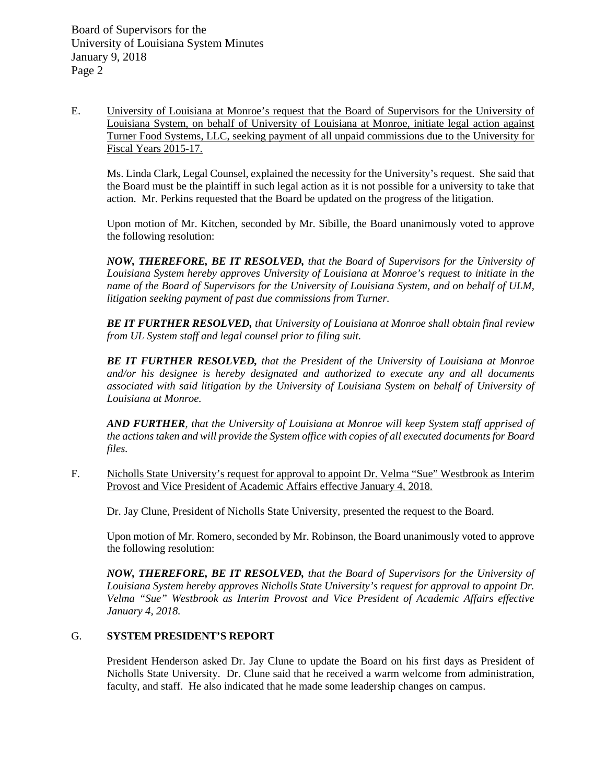E. University of Louisiana at Monroe's request that the Board of Supervisors for the University of Louisiana System, on behalf of University of Louisiana at Monroe, initiate legal action against Turner Food Systems, LLC, seeking payment of all unpaid commissions due to the University for Fiscal Years 2015-17.

Ms. Linda Clark, Legal Counsel, explained the necessity for the University's request. She said that the Board must be the plaintiff in such legal action as it is not possible for a university to take that action. Mr. Perkins requested that the Board be updated on the progress of the litigation.

Upon motion of Mr. Kitchen, seconded by Mr. Sibille, the Board unanimously voted to approve the following resolution:

*NOW, THEREFORE, BE IT RESOLVED, that the Board of Supervisors for the University of Louisiana System hereby approves University of Louisiana at Monroe's request to initiate in the name of the Board of Supervisors for the University of Louisiana System, and on behalf of ULM, litigation seeking payment of past due commissions from Turner.*

*BE IT FURTHER RESOLVED, that University of Louisiana at Monroe shall obtain final review from UL System staff and legal counsel prior to filing suit.* 

*BE IT FURTHER RESOLVED, that the President of the University of Louisiana at Monroe and/or his designee is hereby designated and authorized to execute any and all documents associated with said litigation by the University of Louisiana System on behalf of University of Louisiana at Monroe.*

*AND FURTHER, that the University of Louisiana at Monroe will keep System staff apprised of the actions taken and will provide the System office with copies of all executed documents for Board files.*

F. Nicholls State University's request for approval to appoint Dr. Velma "Sue" Westbrook as Interim Provost and Vice President of Academic Affairs effective January 4, 2018.

Dr. Jay Clune, President of Nicholls State University, presented the request to the Board.

Upon motion of Mr. Romero, seconded by Mr. Robinson, the Board unanimously voted to approve the following resolution:

*NOW, THEREFORE, BE IT RESOLVED, that the Board of Supervisors for the University of Louisiana System hereby approves Nicholls State University's request for approval to appoint Dr. Velma "Sue" Westbrook as Interim Provost and Vice President of Academic Affairs effective January 4, 2018.*

# G. **SYSTEM PRESIDENT'S REPORT**

President Henderson asked Dr. Jay Clune to update the Board on his first days as President of Nicholls State University. Dr. Clune said that he received a warm welcome from administration, faculty, and staff. He also indicated that he made some leadership changes on campus.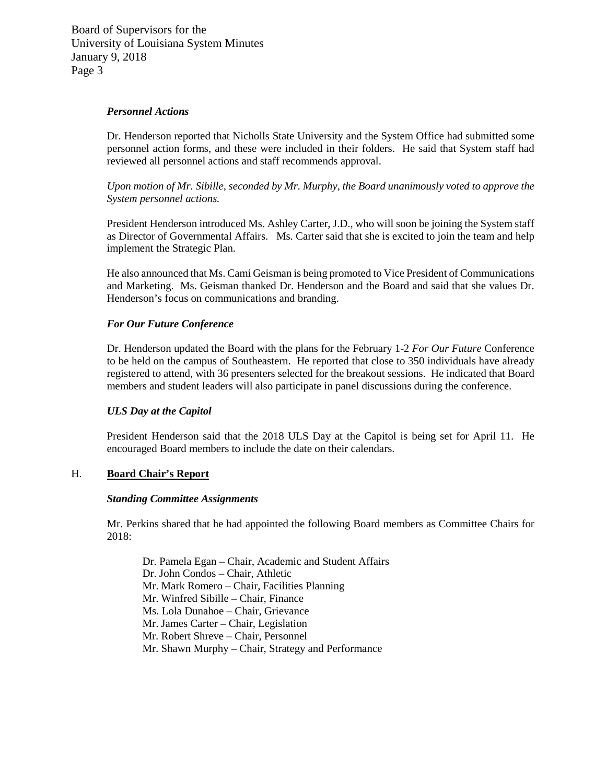Board of Supervisors for the University of Louisiana System Minutes January 9, 2018 Page 3

#### *Personnel Actions*

Dr. Henderson reported that Nicholls State University and the System Office had submitted some personnel action forms, and these were included in their folders. He said that System staff had reviewed all personnel actions and staff recommends approval.

*Upon motion of Mr. Sibille, seconded by Mr. Murphy, the Board unanimously voted to approve the System personnel actions.*

President Henderson introduced Ms. Ashley Carter, J.D., who will soon be joining the System staff as Director of Governmental Affairs. Ms. Carter said that she is excited to join the team and help implement the Strategic Plan.

He also announced that Ms. Cami Geisman is being promoted to Vice President of Communications and Marketing. Ms. Geisman thanked Dr. Henderson and the Board and said that she values Dr. Henderson's focus on communications and branding.

### *For Our Future Conference*

Dr. Henderson updated the Board with the plans for the February 1-2 *For Our Future* Conference to be held on the campus of Southeastern. He reported that close to 350 individuals have already registered to attend, with 36 presenters selected for the breakout sessions. He indicated that Board members and student leaders will also participate in panel discussions during the conference.

#### *ULS Day at the Capitol*

President Henderson said that the 2018 ULS Day at the Capitol is being set for April 11. He encouraged Board members to include the date on their calendars.

### H. **Board Chair's Report**

#### *Standing Committee Assignments*

Mr. Perkins shared that he had appointed the following Board members as Committee Chairs for 2018:

Dr. Pamela Egan – Chair, Academic and Student Affairs Dr. John Condos – Chair, Athletic Mr. Mark Romero – Chair, Facilities Planning Mr. Winfred Sibille – Chair, Finance Ms. Lola Dunahoe – Chair, Grievance Mr. James Carter – Chair, Legislation Mr. Robert Shreve – Chair, Personnel Mr. Shawn Murphy – Chair, Strategy and Performance